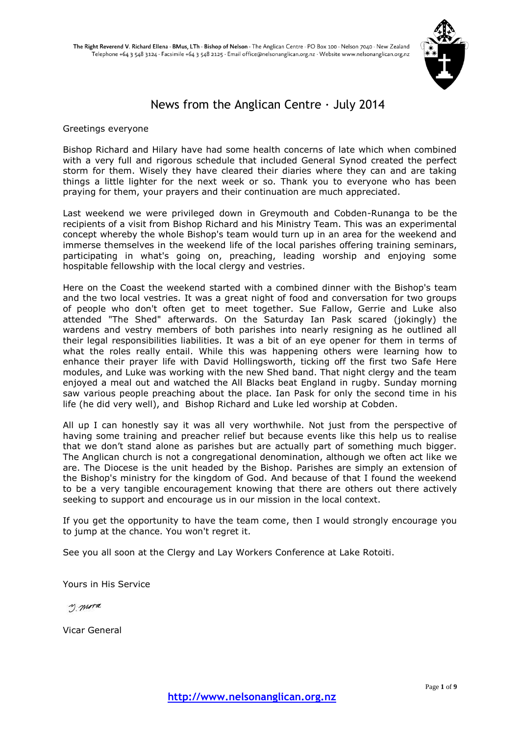

# News from the Anglican Centre  $\cdot$  July 2014

#### Greetings everyone

Bishop Richard and Hilary have had some health concerns of late which when combined with a very full and rigorous schedule that included General Synod created the perfect storm for them. Wisely they have cleared their diaries where they can and are taking things a little lighter for the next week or so. Thank you to everyone who has been praying for them, your prayers and their continuation are much appreciated.

Last weekend we were privileged down in Greymouth and Cobden-Runanga to be the recipients of a visit from Bishop Richard and his Ministry Team. This was an experimental concept whereby the whole Bishop's team would turn up in an area for the weekend and immerse themselves in the weekend life of the local parishes offering training seminars, participating in what's going on, preaching, leading worship and enjoying some hospitable fellowship with the local clergy and vestries.

Here on the Coast the weekend started with a combined dinner with the Bishop's team and the two local vestries. It was a great night of food and conversation for two groups of people who don't often get to meet together. Sue Fallow, Gerrie and Luke also attended "The Shed" afterwards. On the Saturday Ian Pask scared (jokingly) the wardens and vestry members of both parishes into nearly resigning as he outlined all their legal responsibilities liabilities. It was a bit of an eye opener for them in terms of what the roles really entail. While this was happening others were learning how to enhance their prayer life with David Hollingsworth, ticking off the first two Safe Here modules, and Luke was working with the new Shed band. That night clergy and the team enjoyed a meal out and watched the All Blacks beat England in rugby. Sunday morning saw various people preaching about the place. Ian Pask for only the second time in his life (he did very well), and Bishop Richard and Luke led worship at Cobden.

All up I can honestly say it was all very worthwhile. Not just from the perspective of having some training and preacher relief but because events like this help us to realise that we don't stand alone as parishes but are actually part of something much bigger. The Anglican church is not a congregational denomination, although we often act like we are. The Diocese is the unit headed by the Bishop. Parishes are simply an extension of the Bishop's ministry for the kingdom of God. And because of that I found the weekend to be a very tangible encouragement knowing that there are others out there actively seeking to support and encourage us in our mission in the local context.

If you get the opportunity to have the team come, then I would strongly encourage you to jump at the chance. You won't regret it.

See you all soon at the Clergy and Lay Workers Conference at Lake Rotoiti.

Yours in His Service

y mora

Vicar General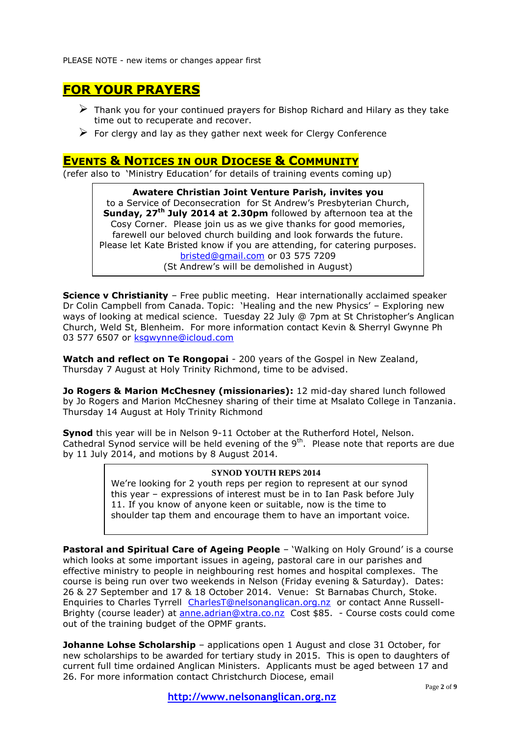PLEASE NOTE - new items or changes appear first

# **FOR YOUR PRAYERS**

- $\triangleright$  Thank you for your continued prayers for Bishop Richard and Hilary as they take time out to recuperate and recover.
- $\triangleright$  For clergy and lay as they gather next week for Clergy Conference

# **EVENTS & NOTICES IN OUR DIOCESE & COMMUNITY**

(refer also to 'Ministry Education' for details of training events coming up)

**Awatere Christian Joint Venture Parish, invites you** to a Service of Deconsecration for St Andrew's Presbyterian Church, **Sunday, 27th July 2014 at 2.30pm** followed by afternoon tea at the Cosy Corner. Please join us as we give thanks for good memories, farewell our beloved church building and look forwards the future. Please let Kate Bristed know if you are attending, for catering purposes. [bristed@gmail.com](mailto:bristed@gmail.com) or 03 575 7209 (St Andrew's will be demolished in August)

**Science v Christianity** – Free public meeting. Hear internationally acclaimed speaker Dr Colin Campbell from Canada. Topic: 'Healing and the new Physics' – Exploring new ways of looking at medical science. Tuesday 22 July @ 7pm at St Christopher's Anglican Church, Weld St, Blenheim. For more information contact Kevin & Sherryl Gwynne Ph 03 577 6507 or [ksgwynne@icloud.com](mailto:ksgwynne@icloud.com)

**Watch and reflect on Te Rongopai** - 200 years of the Gospel in New Zealand, Thursday 7 August at Holy Trinity Richmond, time to be advised.

**Jo Rogers & Marion McChesney (missionaries):** 12 mid-day shared lunch followed by Jo Rogers and Marion McChesney sharing of their time at Msalato College in Tanzania. Thursday 14 August at Holy Trinity Richmond

**Synod** this year will be in Nelson 9-11 October at the Rutherford Hotel, Nelson. Cathedral Synod service will be held evening of the  $9<sup>th</sup>$ . Please note that reports are due by 11 July 2014, and motions by 8 August 2014.

## **SYNOD YOUTH REPS 2014**

We're looking for 2 youth reps per region to represent at our synod this year – expressions of interest must be in to Ian Pask before July 11. If you know of anyone keen or suitable, now is the time to shoulder tap them and encourage them to have an important voice.

**Pastoral and Spiritual Care of Ageing People** - 'Walking on Holy Ground' is a course which looks at some important issues in ageing, pastoral care in our parishes and effective ministry to people in neighbouring rest homes and hospital complexes. The course is being run over two weekends in Nelson (Friday evening & Saturday). Dates: 26 & 27 September and 17 & 18 October 2014. Venue: St Barnabas Church, Stoke. Enquiries to Charles Tyrrell [CharlesT@nelsonanglican.org.nz](mailto:CharlesT@nelsonanglican.org.nz) or contact Anne Russell-Brighty (course leader) at **anne.adrian@xtra.co.nz** Cost \$85. - Course costs could come out of the training budget of the OPMF grants.

**Johanne Lohse Scholarship** – applications open 1 August and close 31 October, for new scholarships to be awarded for tertiary study in 2015. This is open to daughters of current full time ordained Anglican Ministers. Applicants must be aged between 17 and 26. For more information contact Christchurch Diocese, email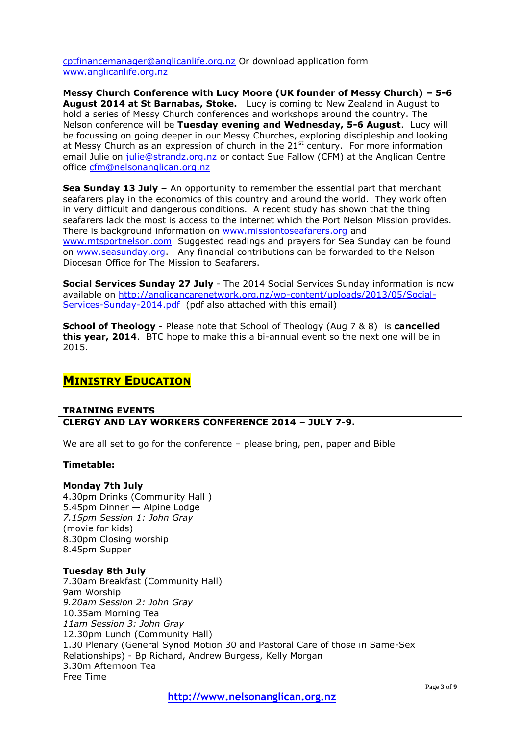[cptfinancemanager@anglicanlife.org.nz](mailto:cptfinancemanager@anglicanlife.org.nz) Or download application form [www.anglicanlife.org.nz](http://www.anglicanlife.org.nz/)

**Messy Church Conference with Lucy Moore (UK founder of Messy Church) – 5-6 August 2014 at St Barnabas, Stoke.** Lucy is coming to New Zealand in August to hold a series of Messy Church conferences and workshops around the country. The Nelson conference will be **Tuesday evening and Wednesday, 5-6 August**. Lucy will be focussing on going deeper in our Messy Churches, exploring discipleship and looking at Messy Church as an expression of church in the  $21^{st}$  century. For more information email Julie on [julie@strandz.org.nz](mailto:julie@strandz.org.nz) or contact Sue Fallow (CFM) at the Anglican Centre office [cfm@nelsonanglican.org.nz](mailto:cfm@nelsonanglican.org.nz)

**Sea Sunday 13 July –** An opportunity to remember the essential part that merchant seafarers play in the economics of this country and around the world. They work often in very difficult and dangerous conditions. A recent study has shown that the thing seafarers lack the most is access to the internet which the Port Nelson Mission provides. There is background information on [www.missiontoseafarers.org](http://www.missiontoseafarers.org/) and [www.mtsportnelson.com](http://www.mtsportnelson.com/) Suggested readings and prayers for Sea Sunday can be found on [www.seasunday.org.](http://www.seasunday.org/) Any financial contributions can be forwarded to the Nelson Diocesan Office for The Mission to Seafarers.

**Social Services Sunday 27 July** - The 2014 Social Services Sunday information is now available on [http://anglicancarenetwork.org.nz/wp-content/uploads/2013/05/Social-](http://anglicancarenetwork.org.nz/wp-content/uploads/2013/05/Social-Services-Sunday-2014.pdf)[Services-Sunday-2014.pdf](http://anglicancarenetwork.org.nz/wp-content/uploads/2013/05/Social-Services-Sunday-2014.pdf) (pdf also attached with this email)

**School of Theology** - Please note that School of Theology (Aug 7 & 8) is **cancelled this year, 2014**. BTC hope to make this a bi-annual event so the next one will be in 2015.

# **MINISTRY EDUCATION**

#### **TRAINING EVENTS CLERGY AND LAY WORKERS CONFERENCE 2014 – JULY 7-9.**

We are all set to go for the conference - please bring, pen, paper and Bible

#### **Timetable:**

#### **Monday 7th July**

4.30pm Drinks (Community Hall ) 5.45pm Dinner — Alpine Lodge *7.15pm Session 1: John Gray* (movie for kids) 8.30pm Closing worship 8.45pm Supper

#### **Tuesday 8th July**

7.30am Breakfast (Community Hall) 9am Worship *9.20am Session 2: John Gray* 10.35am Morning Tea *11am Session 3: John Gray* 12.30pm Lunch (Community Hall) 1.30 Plenary (General Synod Motion 30 and Pastoral Care of those in Same-Sex Relationships) - Bp Richard, Andrew Burgess, Kelly Morgan 3.30m Afternoon Tea Free Time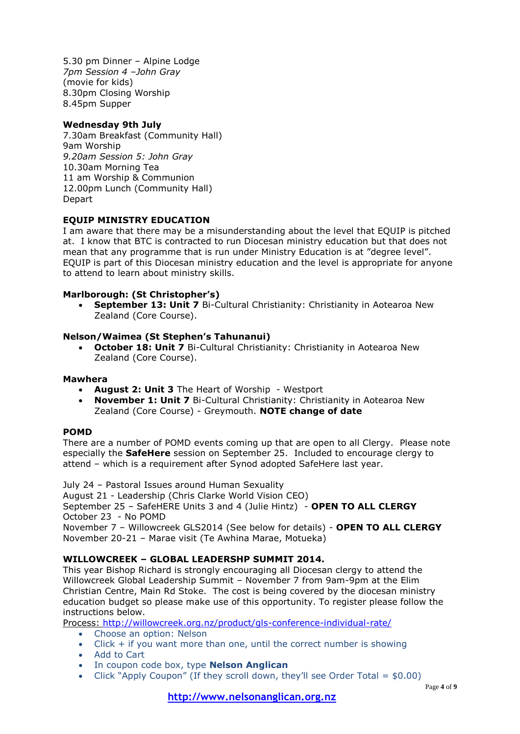5.30 pm Dinner – Alpine Lodge *7pm Session 4 –John Gray* (movie for kids) 8.30pm Closing Worship 8.45pm Supper

## **Wednesday 9th July**

7.30am Breakfast (Community Hall) 9am Worship *9.20am Session 5: John Gray* 10.30am Morning Tea 11 am Worship & Communion 12.00pm Lunch (Community Hall) Depart

## **EQUIP MINISTRY EDUCATION**

I am aware that there may be a misunderstanding about the level that EQUIP is pitched at. I know that BTC is contracted to run Diocesan ministry education but that does not mean that any programme that is run under Ministry Education is at "degree level". EQUIP is part of this Diocesan ministry education and the level is appropriate for anyone to attend to learn about ministry skills.

## **Marlborough: (St Christopher's)**

 **September 13: Unit 7** Bi-Cultural Christianity: Christianity in Aotearoa New Zealand (Core Course).

#### **Nelson/Waimea (St Stephen's Tahunanui)**

**October 18: Unit 7** Bi-Cultural Christianity: Christianity in Aotearoa New Zealand (Core Course).

#### **Mawhera**

- **August 2: Unit 3** The Heart of Worship Westport
- **November 1: Unit 7** Bi-Cultural Christianity: Christianity in Aotearoa New Zealand (Core Course) - Greymouth. **NOTE change of date**

#### **POMD**

There are a number of POMD events coming up that are open to all Clergy. Please note especially the **SafeHere** session on September 25. Included to encourage clergy to attend – which is a requirement after Synod adopted SafeHere last year.

July 24 – Pastoral Issues around Human Sexuality

August 21 - Leadership (Chris Clarke World Vision CEO) September 25 – SafeHERE Units 3 and 4 (Julie Hintz) - **OPEN TO ALL CLERGY** October 23 - No POMD

November 7 – Willowcreek GLS2014 (See below for details) - **OPEN TO ALL CLERGY** November 20-21 – Marae visit (Te Awhina Marae, Motueka)

#### **WILLOWCREEK – GLOBAL LEADERSHP SUMMIT 2014.**

This year Bishop Richard is strongly encouraging all Diocesan clergy to attend the Willowcreek Global Leadership Summit – November 7 from 9am-9pm at the Elim Christian Centre, Main Rd Stoke. The cost is being covered by the diocesan ministry education budget so please make use of this opportunity. To register please follow the instructions below.

Process:<http://willowcreek.org.nz/product/gls-conference-individual-rate/>

- Choose an option: Nelson
- $\bullet$  Click  $+$  if you want more than one, until the correct number is showing
- Add to Cart
- In coupon code box, type **Nelson Anglican**
- Click "Apply Coupon" (If they scroll down, they'll see Order Total =  $$0.00$ )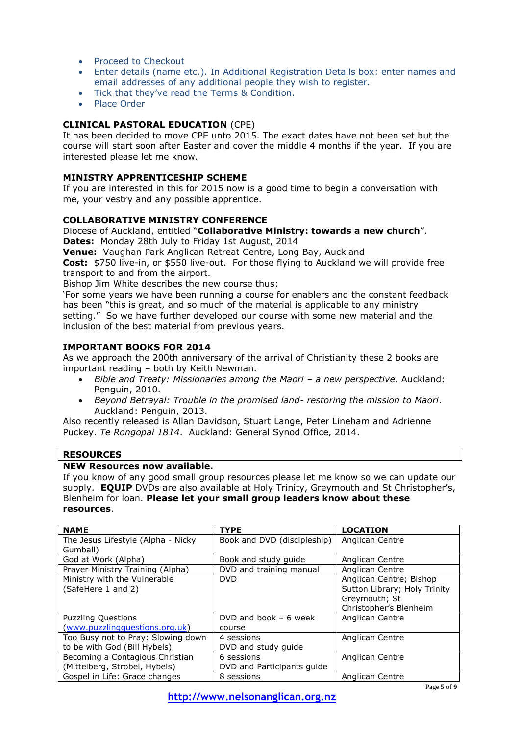- Proceed to Checkout
- Enter details (name etc.). In Additional Registration Details box: enter names and email addresses of any additional people they wish to register.
- Tick that they've read the Terms & Condition.
- · Place Order

## **CLINICAL PASTORAL EDUCATION** (CPE)

It has been decided to move CPE unto 2015. The exact dates have not been set but the course will start soon after Easter and cover the middle 4 months if the year. If you are interested please let me know.

## **MINISTRY APPRENTICESHIP SCHEME**

If you are interested in this for 2015 now is a good time to begin a conversation with me, your vestry and any possible apprentice.

## **COLLABORATIVE MINISTRY CONFERENCE**

Diocese of Auckland, entitled "**Collaborative Ministry: towards a new church**". **Dates:** Monday 28th July to Friday 1st August, 2014

**Venue:** Vaughan Park Anglican Retreat Centre, Long Bay, Auckland

**Cost:** \$750 live-in, or \$550 live-out. For those flying to Auckland we will provide free transport to and from the airport.

Bishop Jim White describes the new course thus:

'For some years we have been running a course for enablers and the constant feedback has been "this is great, and so much of the material is applicable to any ministry setting." So we have further developed our course with some new material and the inclusion of the best material from previous years.

## **IMPORTANT BOOKS FOR 2014**

As we approach the 200th anniversary of the arrival of Christianity these 2 books are important reading – both by Keith Newman.

- *Bible and Treaty: Missionaries among the Maori – a new perspective*. Auckland: Penguin, 2010.
- *Beyond Betrayal: Trouble in the promised land- restoring the mission to Maori*. Auckland: Penguin, 2013.

Also recently released is Allan Davidson, Stuart Lange, Peter Lineham and Adrienne Puckey. *Te Rongopai 1814*. Auckland: General Synod Office, 2014.

#### **RESOURCES**

#### **NEW Resources now available.**

If you know of any good small group resources please let me know so we can update our supply. **EQUIP** DVDs are also available at Holy Trinity, Greymouth and St Christopher's, Blenheim for loan. **Please let your small group leaders know about these resources**.

| <b>NAME</b>                        | <b>TYPE</b>                 | <b>LOCATION</b>              |
|------------------------------------|-----------------------------|------------------------------|
| The Jesus Lifestyle (Alpha - Nicky | Book and DVD (discipleship) | Anglican Centre              |
| Gumball)                           |                             |                              |
| God at Work (Alpha)                | Book and study quide        | Anglican Centre              |
| Prayer Ministry Training (Alpha)   | DVD and training manual     | Anglican Centre              |
| Ministry with the Vulnerable       | <b>DVD</b>                  | Anglican Centre; Bishop      |
| (SafeHere 1 and 2)                 |                             | Sutton Library; Holy Trinity |
|                                    |                             | Greymouth; St                |
|                                    |                             | Christopher's Blenheim       |
| <b>Puzzling Questions</b>          | DVD and book $-6$ week      | Anglican Centre              |
| (www.puzzlingquestions.org.uk)     | course                      |                              |
| Too Busy not to Pray: Slowing down | 4 sessions                  | Anglican Centre              |
| to be with God (Bill Hybels)       | DVD and study quide         |                              |
| Becoming a Contagious Christian    | 6 sessions                  | Anglican Centre              |
| (Mittelberg, Strobel, Hybels)      | DVD and Participants guide  |                              |
| Gospel in Life: Grace changes      | 8 sessions                  | Anglican Centre              |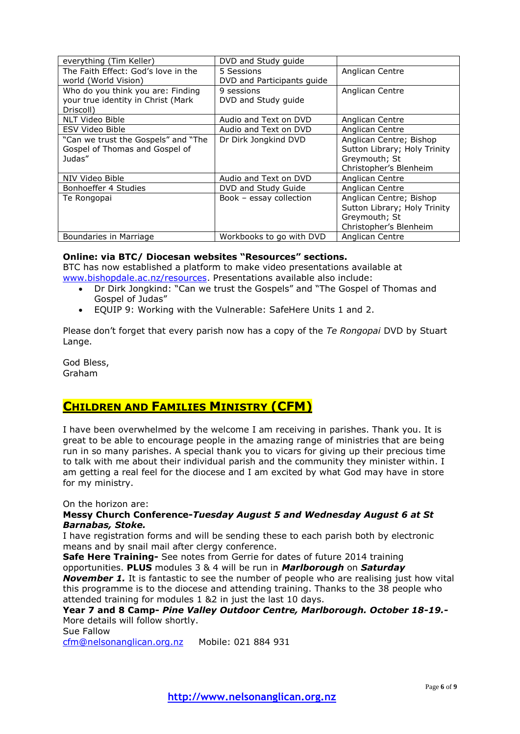| everything (Tim Keller)             | DVD and Study guide        |                              |
|-------------------------------------|----------------------------|------------------------------|
| The Faith Effect: God's love in the | 5 Sessions                 | Anglican Centre              |
| world (World Vision)                | DVD and Participants guide |                              |
| Who do you think you are: Finding   | 9 sessions                 | Anglican Centre              |
| your true identity in Christ (Mark  | DVD and Study guide        |                              |
| Driscoll)                           |                            |                              |
| NLT Video Bible                     | Audio and Text on DVD      | Anglican Centre              |
| <b>ESV Video Bible</b>              | Audio and Text on DVD      | Anglican Centre              |
| "Can we trust the Gospels" and "The | Dr Dirk Jongkind DVD       | Anglican Centre; Bishop      |
| Gospel of Thomas and Gospel of      |                            | Sutton Library; Holy Trinity |
| Judas"                              |                            | Greymouth; St                |
|                                     |                            | Christopher's Blenheim       |
| NIV Video Bible                     | Audio and Text on DVD      | Anglican Centre              |
| Bonhoeffer 4 Studies                | DVD and Study Guide        | Anglican Centre              |
| Te Rongopai                         | Book - essay collection    | Anglican Centre; Bishop      |
|                                     |                            | Sutton Library; Holy Trinity |
|                                     |                            | Greymouth; St                |
|                                     |                            | Christopher's Blenheim       |
| Boundaries in Marriage              | Workbooks to go with DVD   | Anglican Centre              |

#### **Online: via BTC/ Diocesan websites "Resources" sections.**

BTC has now established a platform to make video presentations available at [www.bishopdale.ac.nz/resources.](http://www.bishopdale.ac.nz/resources) Presentations available also include:

- Dr Dirk Jongkind: "Can we trust the Gospels" and "The Gospel of Thomas and Gospel of Judas"
- EQUIP 9: Working with the Vulnerable: SafeHere Units 1 and 2.

Please don't forget that every parish now has a copy of the *Te Rongopai* DVD by Stuart Lange.

God Bless, Graham

# **CHILDREN AND FAMILIES MINISTRY (CFM)**

I have been overwhelmed by the welcome I am receiving in parishes. Thank you. It is great to be able to encourage people in the amazing range of ministries that are being run in so many parishes. A special thank you to vicars for giving up their precious time to talk with me about their individual parish and the community they minister within. I am getting a real feel for the diocese and I am excited by what God may have in store for my ministry.

On the horizon are:

#### **Messy Church Conference-***Tuesday August 5 and Wednesday August 6 at St Barnabas, Stoke.*

I have registration forms and will be sending these to each parish both by electronic means and by snail mail after clergy conference.

**Safe Here Training-** See notes from Gerrie for dates of future 2014 training opportunities. **PLUS** modules 3 & 4 will be run in *Marlborough* on *Saturday*  **November 1.** It is fantastic to see the number of people who are realising just how vital this programme is to the diocese and attending training. Thanks to the 38 people who attended training for modules 1 &2 in just the last 10 days.

## **Year 7 and 8 Camp-** *Pine Valley Outdoor Centre, Marlborough. October 18-19.-* More details will follow shortly.

Sue Fallow

[cfm@nelsonanglican.org.nz](mailto:cfm@nelsonanglican.org.nz) Mobile: 021 884 931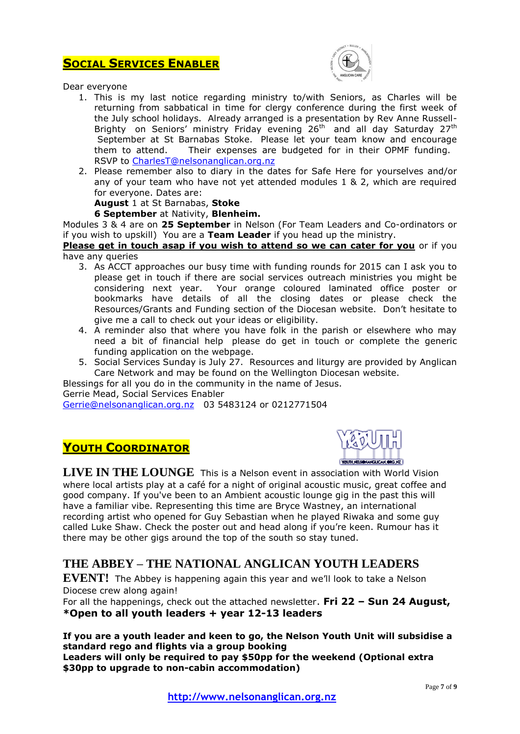# **SOCIAL SERVICES ENABLER**



Dear everyone

- 1. This is my last notice regarding ministry to/with Seniors, as Charles will be returning from sabbatical in time for clergy conference during the first week of the July school holidays. Already arranged is a presentation by Rev Anne Russell-Brighty on Seniors' ministry Friday evening  $26<sup>th</sup>$  and all day Saturday  $27<sup>th</sup>$ September at St Barnabas Stoke. Please let your team know and encourage them to attend. Their expenses are budgeted for in their OPMF funding. RSVP to [CharlesT@nelsonanglican.org.nz](mailto:CharlesT@nelsonanglican.org.nz)
- 2. Please remember also to diary in the dates for Safe Here for yourselves and/or any of your team who have not yet attended modules 1 & 2, which are required for everyone. Dates are:

## **August** 1 at St Barnabas, **Stoke**

#### **6 September** at Nativity, **Blenheim.**

Modules 3 & 4 are on **25 September** in Nelson (For Team Leaders and Co-ordinators or if you wish to upskill) You are a **Team Leader** if you head up the ministry.

**Please get in touch asap if you wish to attend so we can cater for you** or if you have any queries

- 3. As ACCT approaches our busy time with funding rounds for 2015 can I ask you to please get in touch if there are social services outreach ministries you might be considering next year. Your orange coloured laminated office poster or bookmarks have details of all the closing dates or please check the Resources/Grants and Funding section of the Diocesan website. Don't hesitate to give me a call to check out your ideas or eligibility.
- 4. A reminder also that where you have folk in the parish or elsewhere who may need a bit of financial help please do get in touch or complete the generic funding application on the webpage.
- 5. Social Services Sunday is July 27. Resources and liturgy are provided by Anglican Care Network and may be found on the Wellington Diocesan website.

Blessings for all you do in the community in the name of Jesus. Gerrie Mead, Social Services Enabler [Gerrie@nelsonanglican.org.nz](mailto:Gerrie@nelsonanglican.org.nz) 03 5483124 or 0212771504

# **YOUTH COORDINATOR**



**LIVE IN THE LOUNGE** This is a Nelson event in association with World Vision where local artists play at a café for a night of original acoustic music, great coffee and good company. If you've been to an Ambient acoustic lounge gig in the past this will have a familiar vibe. Representing this time are Bryce Wastney, an international recording artist who opened for Guy Sebastian when he played Riwaka and some guy called Luke Shaw. Check the poster out and head along if you're keen. Rumour has it there may be other gigs around the top of the south so stay tuned.

# **THE ABBEY – THE NATIONAL ANGLICAN YOUTH LEADERS**

**EVENT!** The Abbey is happening again this year and we'll look to take a Nelson Diocese crew along again!

For all the happenings, check out the attached newsletter. **Fri 22 – Sun 24 August, \*Open to all youth leaders + year 12-13 leaders**

#### **If you are a youth leader and keen to go, the Nelson Youth Unit will subsidise a standard rego and flights via a group booking Leaders will only be required to pay \$50pp for the weekend (Optional extra \$30pp to upgrade to non-cabin accommodation)**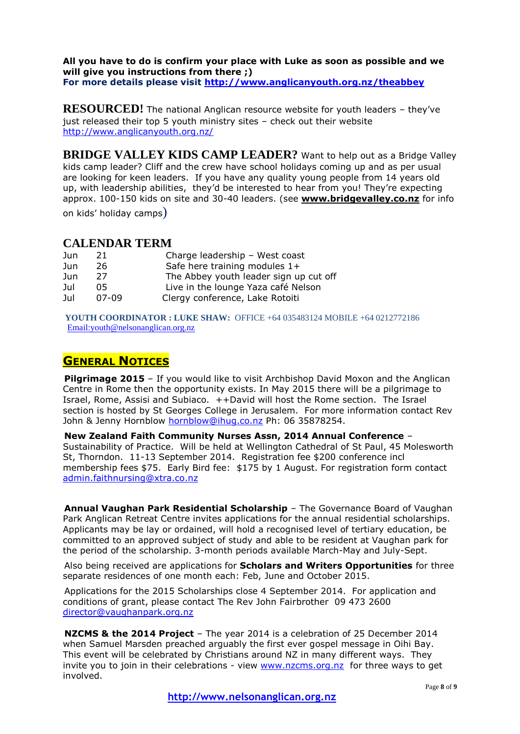#### **All you have to do is confirm your place with Luke as soon as possible and we will give you instructions from there ;) For more details please visit<http://www.anglicanyouth.org.nz/theabbey>**

**RESOURCED!** The national Anglican resource website for youth leaders - they've just released their top 5 youth ministry sites – check out their website <http://www.anglicanyouth.org.nz/>

**BRIDGE VALLEY KIDS CAMP LEADER?** Want to help out as a Bridge Valley kids camp leader? Cliff and the crew have school holidays coming up and as per usual are looking for keen leaders. If you have any quality young people from 14 years old up, with leadership abilities, they'd be interested to hear from you! They're expecting approx. 100-150 kids on site and 30-40 leaders. (see **[www.bridgevalley.co.nz](http://www.bridgevalley.co.nz/)** for info on kids' holiday camps)

## **CALENDAR TERM**

| Jun | 21    | Charge leadership - West coast         |
|-----|-------|----------------------------------------|
| Jun | 26    | Safe here training modules 1+          |
| Jun | 27    | The Abbey youth leader sign up cut off |
| Jul | 05    | Live in the lounge Yaza café Nelson    |
| Jul | 07-09 | Clergy conference, Lake Rotoiti        |

**YOUTH COORDINATOR : LUKE SHAW:** OFFICE +64 035483124 MOBILE +64 0212772186 [Email:youth@nelsonanglican.org.nz](mailto:youth@nelsonanglican.org.nz)

# **GENERAL NOTICES**

**Pilgrimage 2015** – If you would like to visit Archbishop David Moxon and the Anglican Centre in Rome then the opportunity exists. In May 2015 there will be a pilgrimage to Israel, Rome, Assisi and Subiaco. ++David will host the Rome section. The Israel section is hosted by St Georges College in Jerusalem. For more information contact Rev John & Jenny Hornblow [hornblow@ihug.co.nz](mailto:hornblow@ihug.co.nz) Ph: 06 35878254.

**New Zealand Faith Community Nurses Assn, 2014 Annual Conference** – Sustainability of Practice. Will be held at Wellington Cathedral of St Paul, 45 Molesworth St, Thorndon. 11-13 September 2014. Registration fee \$200 conference incl membership fees \$75. Early Bird fee: \$175 by 1 August. For registration form contact [admin.faithnursing@xtra.co.nz](mailto:admin.faithnursing@xtra.co.nz) 

**Annual Vaughan Park Residential Scholarship** – The Governance Board of Vaughan Park Anglican Retreat Centre invites applications for the annual residential scholarships. Applicants may be lay or ordained, will hold a recognised level of tertiary education, be committed to an approved subject of study and able to be resident at Vaughan park for the period of the scholarship. 3-month periods available March-May and July-Sept.

Also being received are applications for **Scholars and Writers Opportunities** for three separate residences of one month each: Feb, June and October 2015.

Applications for the 2015 Scholarships close 4 September 2014. For application and conditions of grant, please contact The Rev John Fairbrother 09 473 2600 [director@vaughanpark.org.nz](mailto:director@vaughanpark.org.nz)

**NZCMS & the 2014 Project** – The year 2014 is a celebration of 25 December 2014 when Samuel Marsden preached arguably the first ever gospel message in Oihi Bay. This event will be celebrated by Christians around NZ in many different ways. They invite you to join in their celebrations - view [www.nzcms.org.nz](http://www.nzcms.org.nz/) for three ways to get involved.